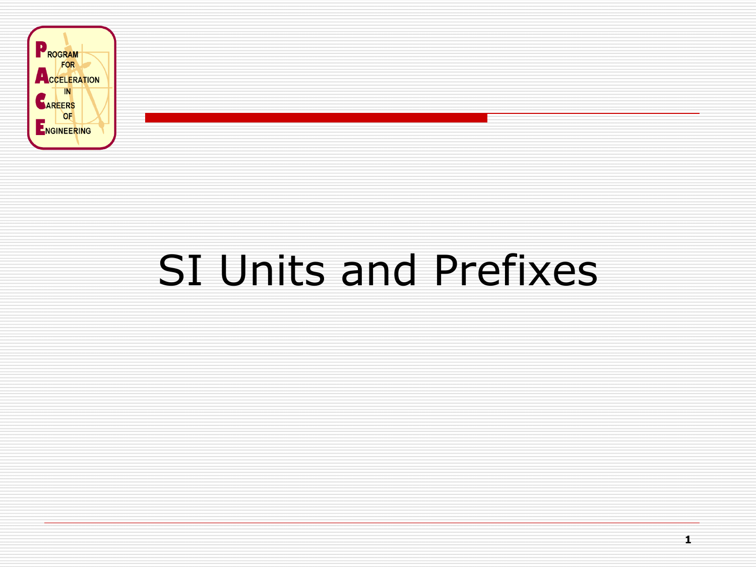

# SI Units and Prefixes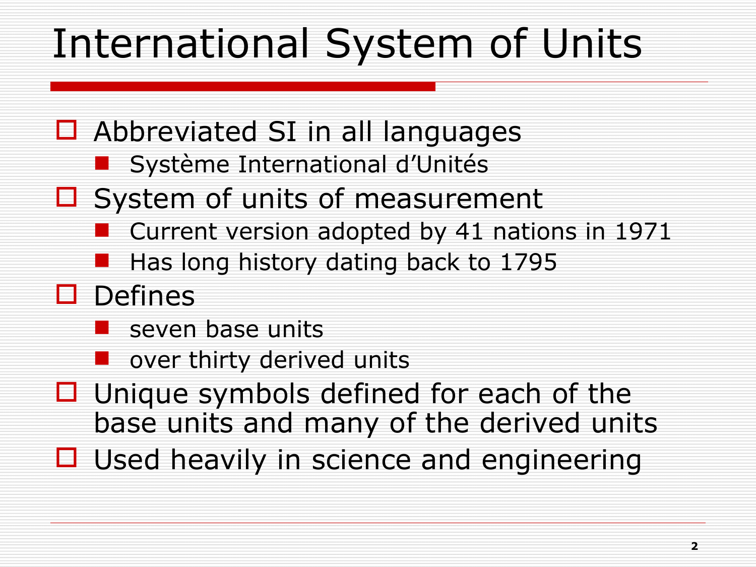# International System of Units

- $\Box$  Abbreviated SI in all languages
	- **Système International d'Unités**
- $\Box$  System of units of measurement
	- Current version adopted by 41 nations in 1971
	- Has long history dating back to 1795
- $\square$  Defines
	- $\blacksquare$  seven base units
	- over thirty derived units
- $\Box$  Unique symbols defined for each of the base units and many of the derived units
- $\Box$  Used heavily in science and engineering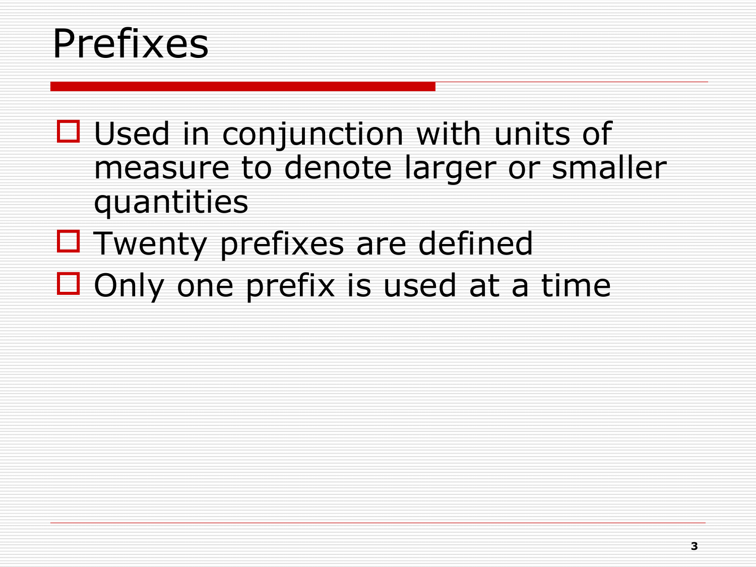#### Prefixes

- $\Box$  Used in conjunction with units of measure to denote larger or smaller quantities
- $\Box$  Twenty prefixes are defined
- $\Box$  Only one prefix is used at a time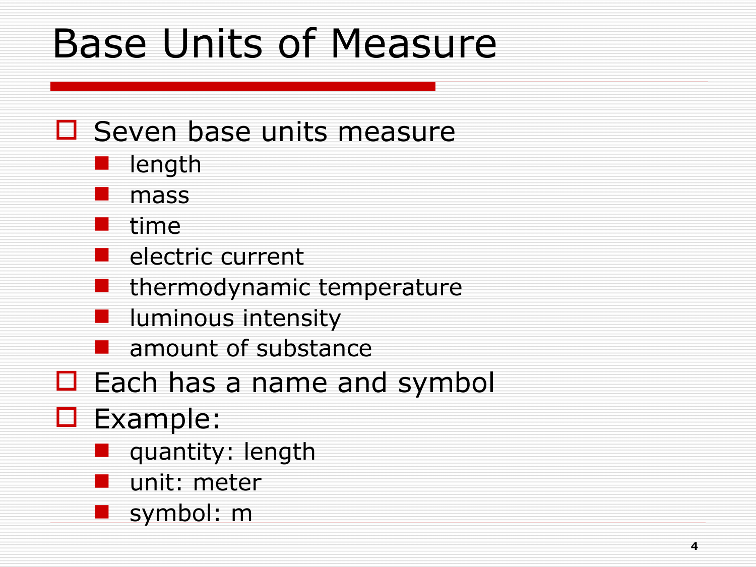## Base Units of Measure

#### $\square$  Seven base units measure

- **length**
- mass
- time
- $\blacksquare$  electric current
- thermodynamic temperature
- luminous intensity
- **amount of substance**
- $\Box$  Each has a name and symbol
- **D** Example:
	- **quantity: length** 
		- unit: meter
	- symbol: m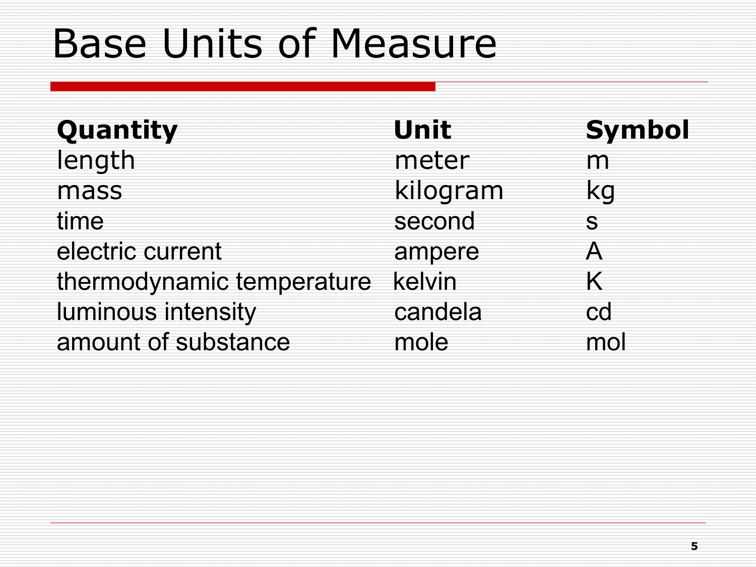## Base Units of Measure

| Quantity                  | Unit     | <b>Symbol</b> |
|---------------------------|----------|---------------|
| length                    | meter    | m             |
| mass                      | kilogram | kg            |
| time                      | second   | S.            |
| electric current          | ampere   | А             |
| thermodynamic temperature | kelvin   |               |
| luminous intensity        | candela  | cd            |
| amount of substance       | mole     | mol           |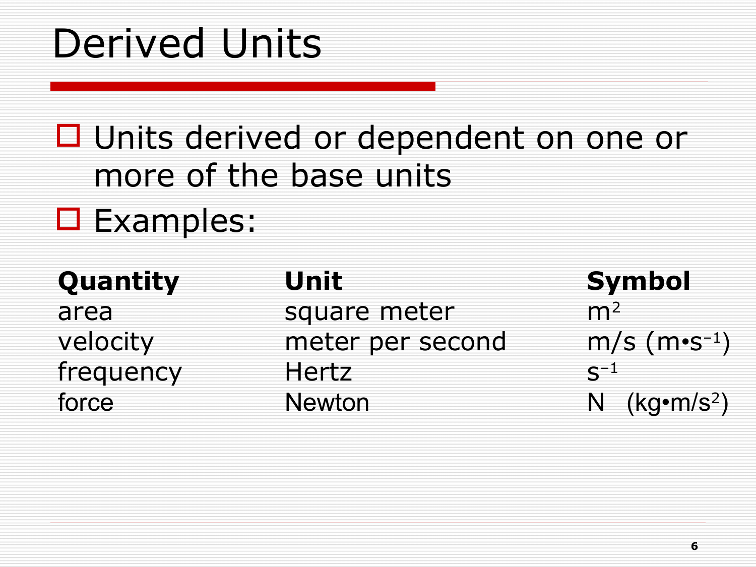### Derived Units

#### □ Units derived or dependent on one or more of the base units

#### **O** Examples:

| Quantity  | Unit             | <b>Symbol</b>              |
|-----------|------------------|----------------------------|
| area      | square meter     | m <sup>2</sup>             |
| velocity  | meter per second | $m/s$ (m•s <sup>-1</sup> ) |
| frequency | Hertz            | $\zeta^{-1}$               |
| force     | <b>Newton</b>    | N $(kg\cdot m/s^2)$        |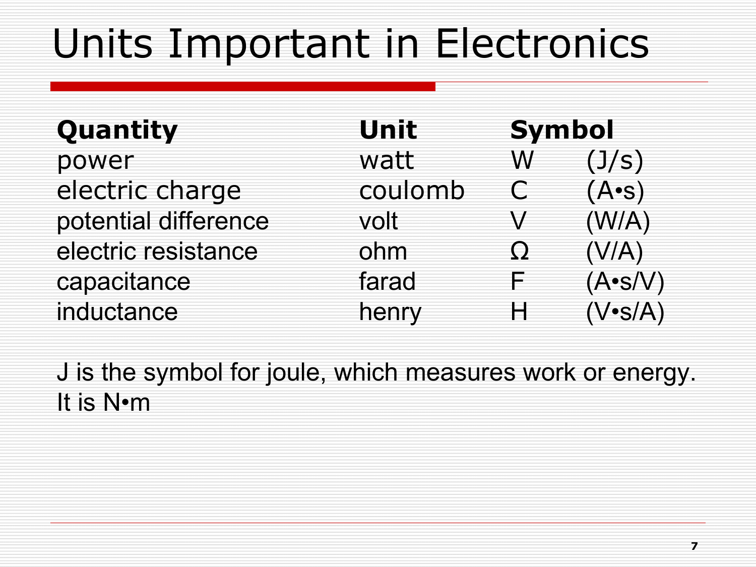## Units Important in Electronics

| Quantity             | Unit    | <b>Symbol</b> |                |
|----------------------|---------|---------------|----------------|
| power                | watt    | W             | (J/s)          |
| electric charge      | coulomb |               | $(A \cdot s)$  |
| potential difference | volt    |               | (W/A)          |
| electric resistance  | ohm     | <u>( )</u>    | (V/A)          |
| capacitance          | farad   | ⊨             | $(A\cdot s/V)$ |
| inductance           | henry   | Н             | $(V\cdot S/A)$ |

J is the symbol for joule, which measures work or energy. It is N•m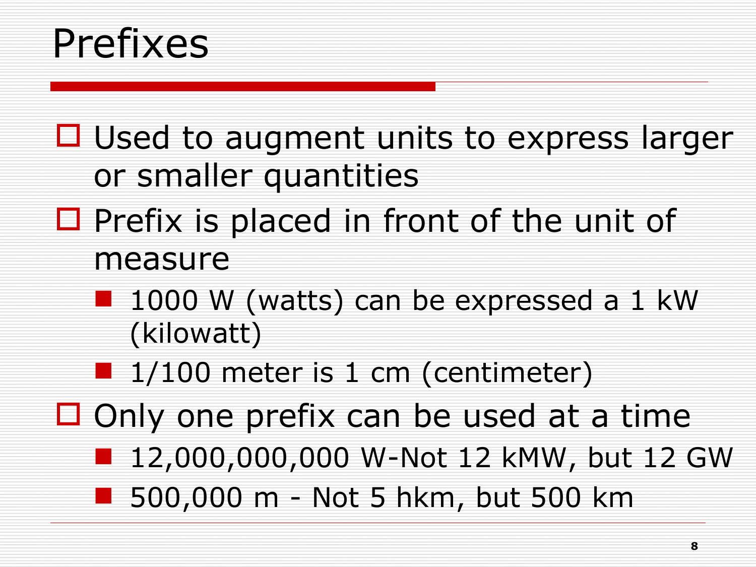#### Prefixes

 $\Box$  Used to augment units to express larger or smaller quantities

- $\Box$  Prefix is placed in front of the unit of measure
	- 1000 W (watts) can be expressed a 1 kW (kilowatt)
	- $\blacksquare$  1/100 meter is 1 cm (centimeter)
- $\Box$  Only one prefix can be used at a time
	- 12,000,000,000 W-Not 12 kMW, but 12 GW
	- 500,000 m Not 5 hkm, but 500 km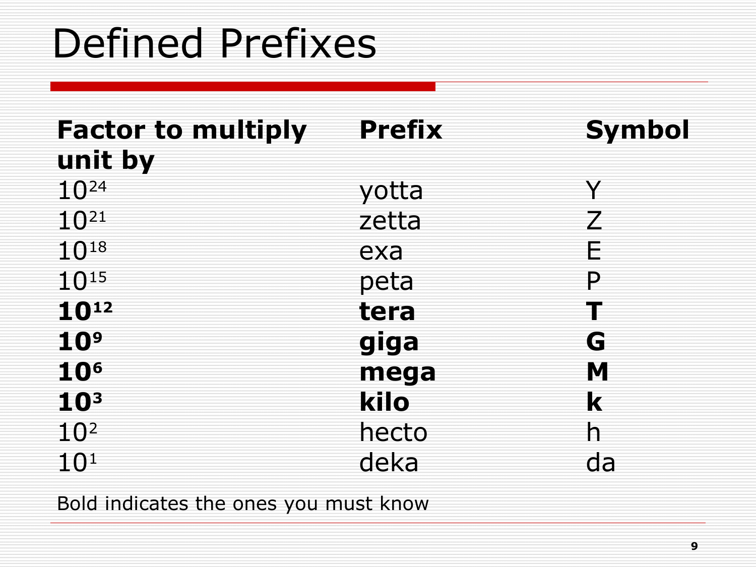## Defined Prefixes

| <b>Factor to multiply</b> | <b>Prefix</b> | <b>Symbol</b> |
|---------------------------|---------------|---------------|
| unit by                   |               |               |
| $10^{24}$                 | yotta         | V             |
| $10^{21}$                 | zetta         |               |
| $10^{18}$                 | exa           | F             |
| $10^{15}$                 | peta          | P             |
| 1012                      | tera          |               |
| 10 <sup>9</sup>           | giga          | G             |
| <b>10<sup>6</sup></b>     | mega          | M             |
| 10 <sup>3</sup>           | kilo          | k             |
| 10 <sup>2</sup>           | hecto         | h             |
| $10^{1}$                  | deka          | da            |

Bold indicates the ones you must know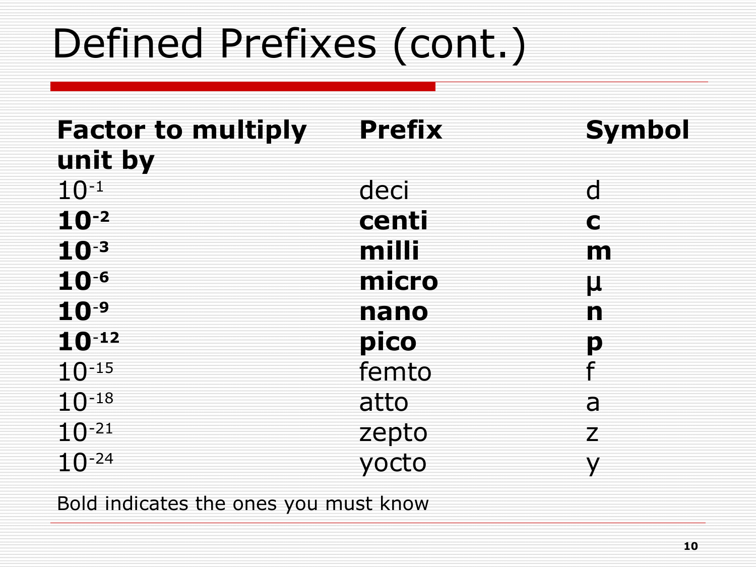# Defined Prefixes (cont.)

| <b>Factor to multiply</b> | <b>Prefix</b> | <b>Symbol</b>  |
|---------------------------|---------------|----------------|
| unit by                   |               |                |
| $10^{-1}$                 | deci          | $\overline{C}$ |
| $10^{-2}$                 | centi         | C              |
| $10^{-3}$                 | milli         | m              |
| $10^{-6}$                 | micro         | μ              |
| $10^{-9}$                 | nano          | n              |
| $10^{-12}$                | pico          | D              |
| $10^{-15}$                | femto         |                |
| $10^{-18}$                | atto          | a              |
| $10^{-21}$                | zepto         | 7              |
| $10^{-24}$                | yocto         |                |
|                           |               |                |

Bold indicates the ones you must know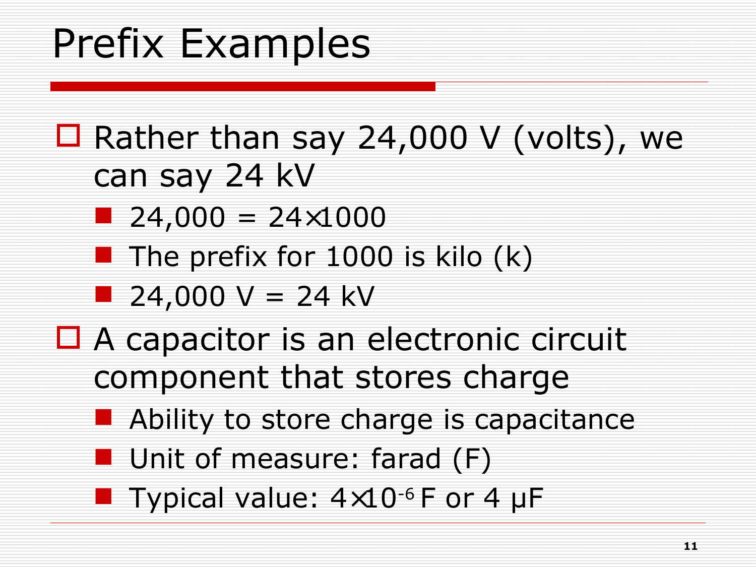# Prefix Examples

- $\Box$  Rather than say 24,000 V (volts), we can say 24 kV
	- $\blacksquare$  24,000 = 24×1000
	- The prefix for 1000 is kilo  $(k)$
	- $24,000 \text{ V} = 24 \text{ kV}$
- $\Box$  A capacitor is an electronic circuit component that stores charge
	- **Ability to store charge is capacitance**
	- **Unit of measure: farad (F)**
	- **Typical value:**  $4\times10^{-6}$  F or 4 µF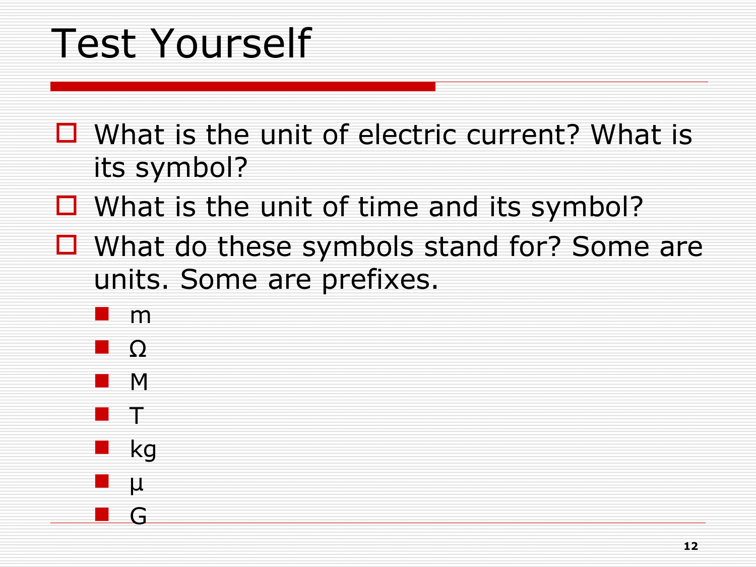# Test Yourself

- $\Box$  What is the unit of electric current? What is its symbol?
- $\Box$  What is the unit of time and its symbol?
- $\Box$  What do these symbols stand for? Some are units. Some are prefixes.
	- m
	- Ω
	- M
	- T
	- $\blacksquare$  kg

G

 $\blacksquare$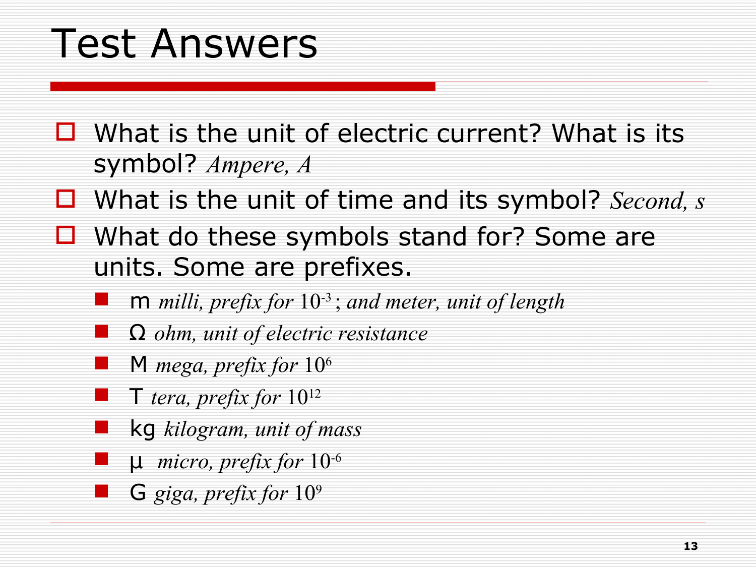### Test Answers

- $\Box$  What is the unit of electric current? What is its symbol? *Ampere, A*
- What is the unit of time and its symbol? *Second, s*
- $\Box$  What do these symbols stand for? Some are units. Some are prefixes.
	- m *milli, prefix for* 10-3 ; *and meter, unit of length*
	- Ω *ohm, unit of electric resistance*
	- M *mega, prefix for* 10<sup>6</sup>
	- T *tera, prefix for* 10<sup>12</sup>
	- kg *kilogram, unit of mass*
	- µ *micro, prefix for* 10-6
		- G *giga, prefix for* 10<sup>9</sup>